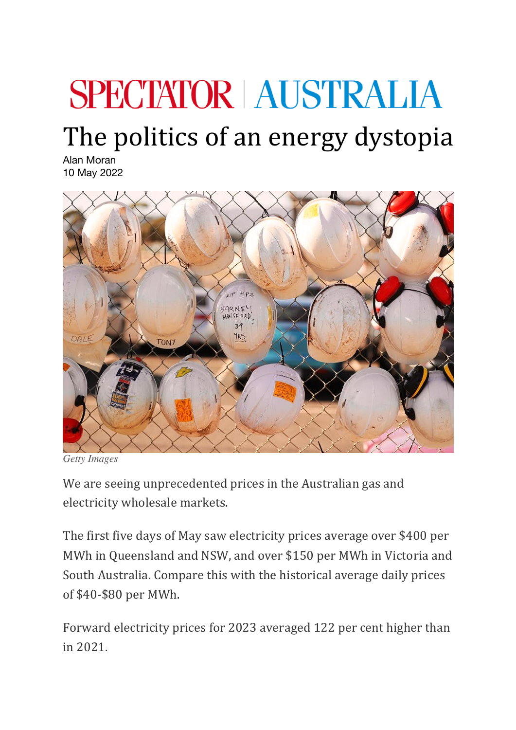## **SPECTATOR AUSTRALIA**

## The politics of an energy dystopia

Alan Moran 10 May 2022



*Getty Images*

We are seeing unprecedented prices in the Australian gas and electricity wholesale markets.

The first five days of May saw electricity prices average over \$400 per MWh in Queensland and NSW, and over \$150 per MWh in Victoria and South Australia. Compare this with the historical average daily prices of \$40-\$80 per MWh.

Forward electricity prices for 2023 averaged 122 per cent higher than in 2021.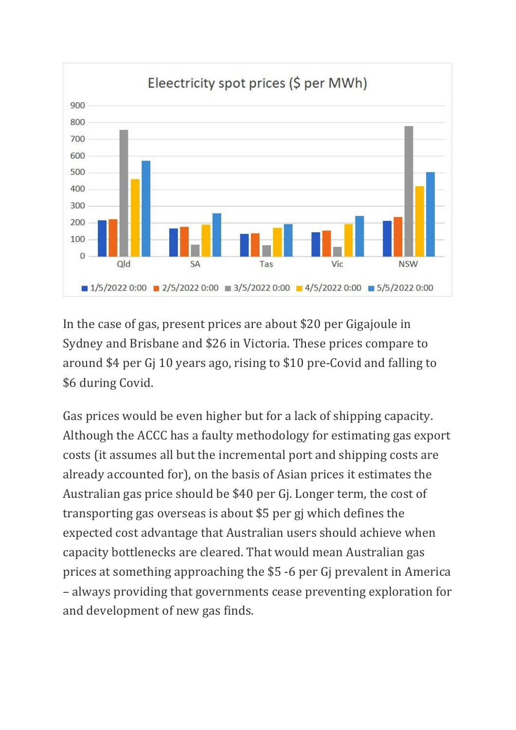

In the case of gas, present prices are about \$20 per Gigajoule in Sydney and Brisbane and \$26 in Victoria. These prices compare to around \$4 per G 10 years ago, rising to \$10 pre-Covid and falling to \$6 during Covid.

Gas prices would be even higher but for a lack of shipping capacity. Although the ACCC has a faulty methodology for estimating gas export costs (it assumes all but the incremental port and shipping costs are already accounted for), on the basis of Asian prices it estimates the Australian gas price should be \$40 per G. Longer term, the cost of transporting gas overseas is about \$5 per gi which defines the expected cost advantage that Australian users should achieve when capacity bottlenecks are cleared. That would mean Australian gas prices at something approaching the \$5 -6 per Gi prevalent in America – always providing that governments cease preventing exploration for and development of new gas finds.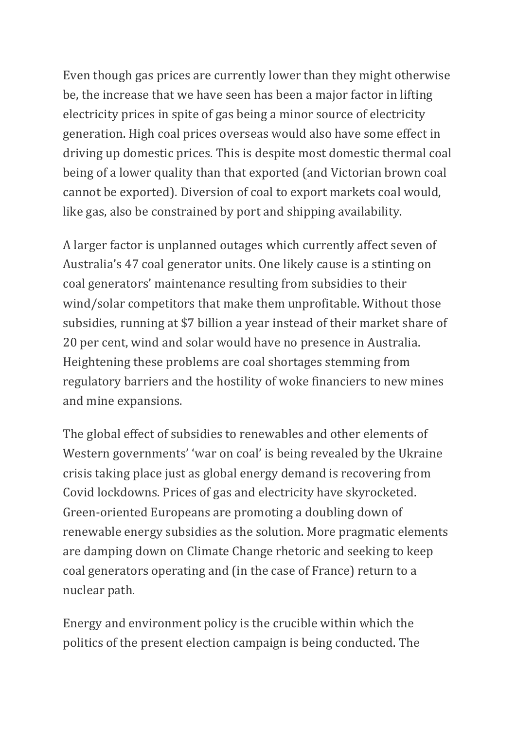Even though gas prices are currently lower than they might otherwise be, the increase that we have seen has been a major factor in lifting electricity prices in spite of gas being a minor source of electricity generation. High coal prices overseas would also have some effect in driving up domestic prices. This is despite most domestic thermal coal being of a lower quality than that exported (and Victorian brown coal cannot be exported). Diversion of coal to export markets coal would, like gas, also be constrained by port and shipping availability.

A larger factor is unplanned outages which currently affect seven of Australia's 47 coal generator units. One likely cause is a stinting on coal generators' maintenance resulting from subsidies to their wind/solar competitors that make them unprofitable. Without those subsidies, running at \$7 billion a year instead of their market share of 20 per cent, wind and solar would have no presence in Australia. Heightening these problems are coal shortages stemming from regulatory barriers and the hostility of woke financiers to new mines and mine expansions.

The global effect of subsidies to renewables and other elements of Western governments' 'war on coal' is being revealed by the Ukraine crisis taking place just as global energy demand is recovering from Covid lockdowns. Prices of gas and electricity have skyrocketed. Green-oriented Europeans are promoting a doubling down of renewable energy subsidies as the solution. More pragmatic elements are damping down on Climate Change rhetoric and seeking to keep coal generators operating and (in the case of France) return to a nuclear path.

Energy and environment policy is the crucible within which the politics of the present election campaign is being conducted. The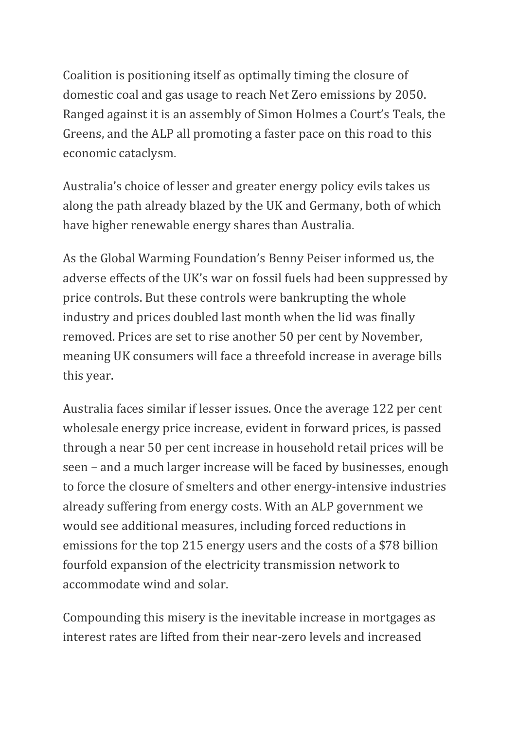Coalition is positioning itself as optimally timing the closure of domestic coal and gas usage to reach Net Zero emissions by 2050. Ranged against it is an assembly of Simon Holmes a Court's Teals, the Greens, and the ALP all promoting a faster pace on this road to this economic cataclysm.

Australia's choice of lesser and greater energy policy evils takes us along the path already blazed by the UK and Germany, both of which have higher renewable energy shares than Australia.

As the Global Warming Foundation's Benny Peiser informed us, the adverse effects of the UK's war on fossil fuels had been suppressed by price controls. But these controls were bankrupting the whole industry and prices doubled last month when the lid was finally removed. Prices are set to rise another 50 per cent by November, meaning UK consumers will face a threefold increase in average bills this year.

Australia faces similar if lesser issues. Once the average 122 per cent wholesale energy price increase, evident in forward prices, is passed through a near 50 per cent increase in household retail prices will be seen – and a much larger increase will be faced by businesses, enough to force the closure of smelters and other energy-intensive industries already suffering from energy costs. With an ALP government we would see additional measures, including forced reductions in emissions for the top 215 energy users and the costs of a \$78 billion fourfold expansion of the electricity transmission network to accommodate wind and solar.

Compounding this misery is the inevitable increase in mortgages as interest rates are lifted from their near-zero levels and increased